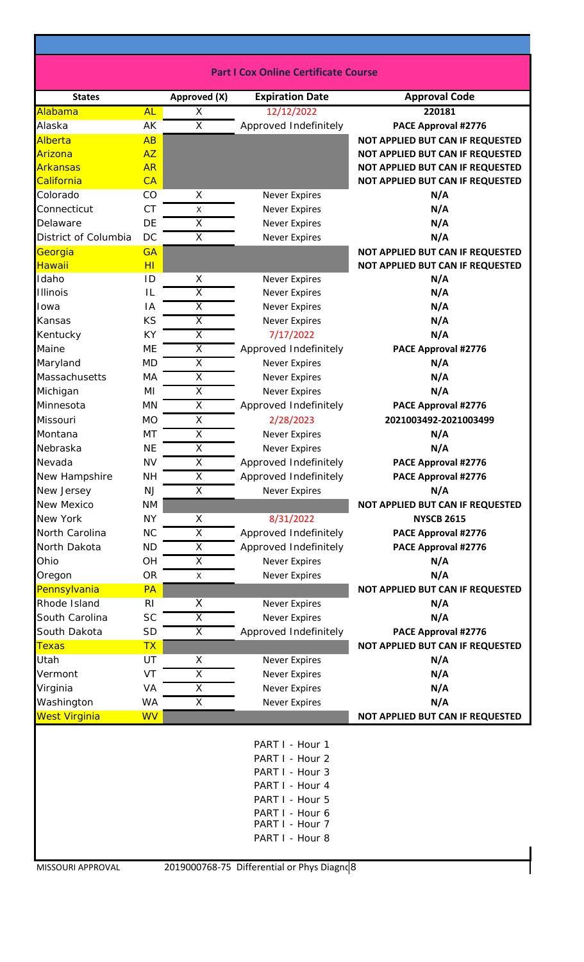| <b>Part I Cox Online Certificate Course</b> |  |
|---------------------------------------------|--|
|---------------------------------------------|--|

| <b>States</b>        |                | Approved (X)            | <b>Expiration Date</b>                                                                                                                               | <b>Approval Code</b>             |
|----------------------|----------------|-------------------------|------------------------------------------------------------------------------------------------------------------------------------------------------|----------------------------------|
| Alabama              | <b>AL</b>      | X                       | 12/12/2022                                                                                                                                           | 220181                           |
| Alaska               | AK             | $\overline{\mathsf{x}}$ | Approved Indefinitely                                                                                                                                | PACE Approval #2776              |
| Alberta              | AB             |                         |                                                                                                                                                      | NOT APPLIED BUT CAN IF REQUESTED |
| Arizona              | <b>AZ</b>      |                         |                                                                                                                                                      | NOT APPLIED BUT CAN IF REQUESTED |
| <b>Arkansas</b>      | <b>AR</b>      |                         |                                                                                                                                                      | NOT APPLIED BUT CAN IF REQUESTED |
| California           | CA             |                         |                                                                                                                                                      | NOT APPLIED BUT CAN IF REQUESTED |
| Colorado             | CO             | X                       | <b>Never Expires</b>                                                                                                                                 | N/A                              |
| Connecticut          | <b>CT</b>      | X                       | <b>Never Expires</b>                                                                                                                                 | N/A                              |
| Delaware             | DE             | $\overline{\mathsf{x}}$ | <b>Never Expires</b>                                                                                                                                 | N/A                              |
| District of Columbia | DC             | X                       | <b>Never Expires</b>                                                                                                                                 | N/A                              |
| Georgia              | <b>GA</b>      |                         |                                                                                                                                                      | NOT APPLIED BUT CAN IF REQUESTED |
| Hawaii               | H <sub>l</sub> |                         |                                                                                                                                                      | NOT APPLIED BUT CAN IF REQUESTED |
| Idaho                | ID             | X                       | <b>Never Expires</b>                                                                                                                                 | N/A                              |
| <b>Illinois</b>      | IL             | $\overline{\mathsf{x}}$ | <b>Never Expires</b>                                                                                                                                 | N/A                              |
| Iowa                 | IA             | $\overline{\mathsf{x}}$ | <b>Never Expires</b>                                                                                                                                 | N/A                              |
| Kansas               | KS             | $\overline{\mathsf{x}}$ | <b>Never Expires</b>                                                                                                                                 | N/A                              |
| Kentucky             | <b>KY</b>      | $\overline{X}$          | 7/17/2022                                                                                                                                            | N/A                              |
| Maine                | <b>ME</b>      | $\overline{\mathsf{x}}$ | Approved Indefinitely                                                                                                                                | PACE Approval #2776              |
| Maryland             | <b>MD</b>      | X                       | <b>Never Expires</b>                                                                                                                                 | N/A                              |
| Massachusetts        | MA             | $\overline{X}$          | <b>Never Expires</b>                                                                                                                                 | N/A                              |
| Michigan             | MI             | $\overline{X}$          | <b>Never Expires</b>                                                                                                                                 | N/A                              |
| Minnesota            | <b>MN</b>      | X                       | Approved Indefinitely                                                                                                                                | PACE Approval #2776              |
| Missouri             | <b>MO</b>      | X                       | 2/28/2023                                                                                                                                            | 2021003492-2021003499            |
| Montana              | MT             | $\overline{\mathsf{X}}$ | <b>Never Expires</b>                                                                                                                                 | N/A                              |
| Nebraska             | <b>NE</b>      | X                       | <b>Never Expires</b>                                                                                                                                 | N/A                              |
| Nevada               | <b>NV</b>      | $\overline{\mathsf{x}}$ | Approved Indefinitely                                                                                                                                | PACE Approval #2776              |
| New Hampshire        | <b>NH</b>      | $\overline{\mathsf{X}}$ | Approved Indefinitely                                                                                                                                | PACE Approval #2776              |
| New Jersey           | <b>NJ</b>      | X                       | <b>Never Expires</b>                                                                                                                                 | N/A                              |
| New Mexico           | <b>NM</b>      |                         |                                                                                                                                                      | NOT APPLIED BUT CAN IF REQUESTED |
| New York             | <b>NY</b>      | Χ                       | 8/31/2022                                                                                                                                            | <b>NYSCB 2615</b>                |
| North Carolina       | <b>NC</b>      | $\overline{X}$          | Approved Indefinitely                                                                                                                                | PACE Approval #2776              |
| North Dakota         | <b>ND</b>      | $\overline{\mathsf{x}}$ | Approved Indefinitely                                                                                                                                | PACE Approval #2776              |
| Ohio                 | OH             | $\overline{X}$          | <b>Never Expires</b>                                                                                                                                 | N/A                              |
| Oregon               | <b>OR</b>      | X                       | <b>Never Expires</b>                                                                                                                                 | N/A                              |
| Pennsylvania         | <b>PA</b>      |                         |                                                                                                                                                      | NOT APPLIED BUT CAN IF REQUESTED |
| Rhode Island         | R <sub>l</sub> | X                       | <b>Never Expires</b>                                                                                                                                 | N/A                              |
| South Carolina       | <b>SC</b>      | $\overline{\mathsf{x}}$ | <b>Never Expires</b>                                                                                                                                 | N/A                              |
| South Dakota         | <b>SD</b>      | X                       | Approved Indefinitely                                                                                                                                | PACE Approval #2776              |
| <b>Texas</b>         | <b>TX</b>      |                         |                                                                                                                                                      | NOT APPLIED BUT CAN IF REQUESTED |
| Utah                 | UT             | X                       | <b>Never Expires</b>                                                                                                                                 | N/A                              |
| Vermont              | VT             | X                       | <b>Never Expires</b>                                                                                                                                 | N/A                              |
| Virginia             | VA             | $\overline{\mathsf{x}}$ | <b>Never Expires</b>                                                                                                                                 | N/A                              |
| Washington           | WA             | X                       | <b>Never Expires</b>                                                                                                                                 | N/A                              |
| <b>West Virginia</b> | <b>WV</b>      |                         |                                                                                                                                                      | NOT APPLIED BUT CAN IF REQUESTED |
|                      |                |                         | PART I - Hour 1<br>PART I - Hour 2<br>PART I - Hour 3<br>PART I - Hour 4<br>PART I - Hour 5<br>PART I - Hour 6<br>PART I - Hour 7<br>PART I - Hour 8 |                                  |
| MISSOURI APPROVAL    |                |                         | 2019000768-75 Differential or Phys Diagnd 8                                                                                                          |                                  |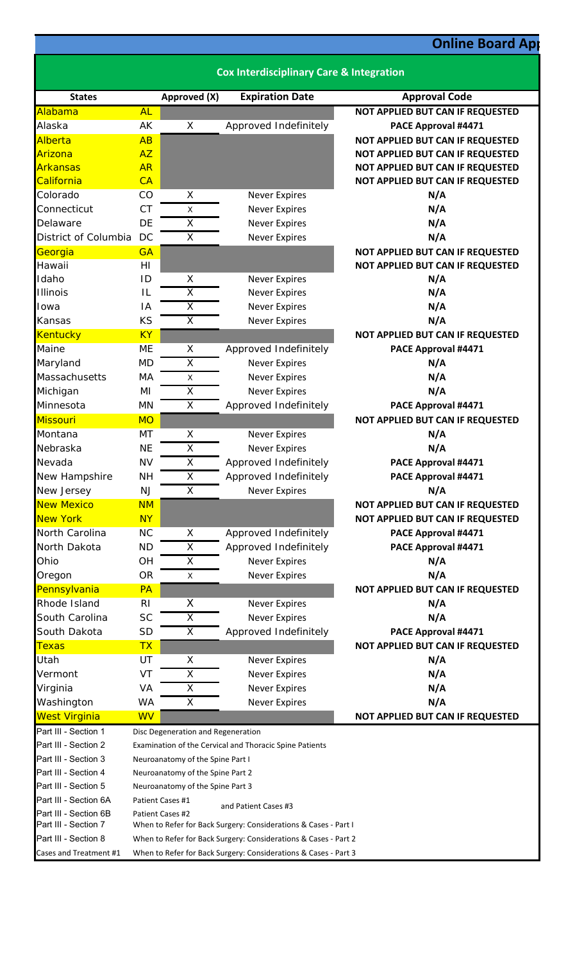## **Online Board App**

|                                               |                                                                                                                                    |                                    | <b>Cox Interdisciplinary Care &amp; Integration</b>             |                                         |  |  |
|-----------------------------------------------|------------------------------------------------------------------------------------------------------------------------------------|------------------------------------|-----------------------------------------------------------------|-----------------------------------------|--|--|
| <b>States</b>                                 |                                                                                                                                    | Approved (X)                       | <b>Expiration Date</b>                                          | <b>Approval Code</b>                    |  |  |
| Alabama                                       | <b>AL</b>                                                                                                                          |                                    |                                                                 | NOT APPLIED BUT CAN IF REQUESTED        |  |  |
| Alaska                                        | AK                                                                                                                                 | X                                  | Approved Indefinitely                                           | PACE Approval #4471                     |  |  |
| Alberta                                       | AB                                                                                                                                 |                                    |                                                                 | NOT APPLIED BUT CAN IF REQUESTED        |  |  |
| Arizona                                       | <b>AZ</b>                                                                                                                          |                                    |                                                                 | NOT APPLIED BUT CAN IF REQUESTED        |  |  |
| Arkansas                                      | <b>AR</b>                                                                                                                          |                                    |                                                                 | NOT APPLIED BUT CAN IF REQUESTED        |  |  |
| California                                    | CA                                                                                                                                 |                                    |                                                                 | NOT APPLIED BUT CAN IF REQUESTED        |  |  |
| Colorado                                      | CO                                                                                                                                 | X                                  | <b>Never Expires</b>                                            | N/A                                     |  |  |
| Connecticut                                   | <b>CT</b>                                                                                                                          | X                                  | Never Expires                                                   | N/A                                     |  |  |
| Delaware                                      | DE                                                                                                                                 | $\overline{\mathsf{x}}$            | Never Expires                                                   | N/A                                     |  |  |
| District of Columbia                          | DC                                                                                                                                 | X                                  | <b>Never Expires</b>                                            | N/A                                     |  |  |
| Georgia                                       | <b>GA</b>                                                                                                                          |                                    |                                                                 | NOT APPLIED BUT CAN IF REQUESTED        |  |  |
| Hawaii                                        | H1                                                                                                                                 |                                    |                                                                 | NOT APPLIED BUT CAN IF REQUESTED        |  |  |
| Idaho                                         | ID                                                                                                                                 | X                                  | <b>Never Expires</b>                                            | N/A                                     |  |  |
| Illinois                                      | IL                                                                                                                                 | $\overline{\mathsf{x}}$            | Never Expires                                                   | N/A                                     |  |  |
| Iowa                                          | IA                                                                                                                                 | $\overline{X}$                     | <b>Never Expires</b>                                            | N/A                                     |  |  |
| Kansas                                        | KS                                                                                                                                 | $\overline{X}$                     | <b>Never Expires</b>                                            | N/A                                     |  |  |
| <b>Kentucky</b>                               | <b>KY</b>                                                                                                                          |                                    |                                                                 | NOT APPLIED BUT CAN IF REQUESTED        |  |  |
| Maine                                         | ME                                                                                                                                 | X                                  | Approved Indefinitely                                           | PACE Approval #4471                     |  |  |
| Maryland                                      | <b>MD</b>                                                                                                                          | X                                  | <b>Never Expires</b>                                            | N/A                                     |  |  |
| Massachusetts                                 | MA                                                                                                                                 | $\mathsf X$                        | Never Expires                                                   | N/A                                     |  |  |
| Michigan                                      | ΜI                                                                                                                                 | $\overline{\mathsf{x}}$            | <b>Never Expires</b>                                            | N/A                                     |  |  |
| Minnesota                                     | <b>MN</b>                                                                                                                          | X                                  | Approved Indefinitely                                           | PACE Approval #4471                     |  |  |
| <b>Missouri</b>                               | <b>MO</b>                                                                                                                          |                                    |                                                                 | NOT APPLIED BUT CAN IF REQUESTED        |  |  |
| Montana                                       | MT                                                                                                                                 | Χ                                  | <b>Never Expires</b>                                            | N/A                                     |  |  |
| Nebraska                                      | <b>NE</b>                                                                                                                          | X                                  | <b>Never Expires</b>                                            | N/A                                     |  |  |
| Nevada                                        | <b>NV</b>                                                                                                                          | $\overline{X}$                     | Approved Indefinitely                                           | PACE Approval #4471                     |  |  |
| New Hampshire                                 | <b>NH</b>                                                                                                                          | $\overline{\mathsf{x}}$            | Approved Indefinitely                                           | PACE Approval #4471                     |  |  |
| New Jersey                                    | <b>NJ</b>                                                                                                                          | Χ                                  | <b>Never Expires</b>                                            | N/A                                     |  |  |
| <b>New Mexico</b>                             | <b>NM</b>                                                                                                                          |                                    |                                                                 | <b>NOT APPLIED BUT CAN IF REQUESTED</b> |  |  |
| <b>New York</b>                               | <b>NY</b>                                                                                                                          |                                    |                                                                 | NOT APPLIED BUT CAN IF REQUESTED        |  |  |
| North Carolina                                | <b>NC</b>                                                                                                                          | X                                  | Approved Indefinitely                                           | PACE Approval #4471                     |  |  |
| North Dakota                                  | <b>ND</b>                                                                                                                          | X                                  | Approved Indefinitely                                           | PACE Approval #4471                     |  |  |
| Ohio                                          | <b>OH</b>                                                                                                                          | X                                  | <b>Never Expires</b>                                            | N/A                                     |  |  |
| Oregon                                        | <b>OR</b>                                                                                                                          | X                                  | <b>Never Expires</b>                                            | N/A                                     |  |  |
| Pennsylvania                                  | <b>PA</b>                                                                                                                          |                                    |                                                                 | NOT APPLIED BUT CAN IF REQUESTED        |  |  |
| Rhode Island                                  | R <sub>l</sub>                                                                                                                     | X                                  | <b>Never Expires</b>                                            | N/A                                     |  |  |
| South Carolina                                | <b>SC</b>                                                                                                                          | X                                  | <b>Never Expires</b>                                            | N/A                                     |  |  |
| South Dakota                                  | <b>SD</b>                                                                                                                          | X                                  | Approved Indefinitely                                           | PACE Approval #4471                     |  |  |
| <b>Texas</b>                                  | <b>TX</b>                                                                                                                          |                                    |                                                                 | NOT APPLIED BUT CAN IF REQUESTED        |  |  |
| Utah                                          | UT                                                                                                                                 | X                                  | <b>Never Expires</b>                                            | N/A                                     |  |  |
| Vermont                                       | VT                                                                                                                                 | X                                  | <b>Never Expires</b>                                            | N/A                                     |  |  |
| Virginia                                      | VA                                                                                                                                 | X                                  | <b>Never Expires</b>                                            | N/A                                     |  |  |
| Washington                                    | WA                                                                                                                                 | Χ                                  | <b>Never Expires</b>                                            | N/A                                     |  |  |
| <b>West Virginia</b>                          | <b>WV</b>                                                                                                                          |                                    |                                                                 | NOT APPLIED BUT CAN IF REQUESTED        |  |  |
| Part III - Section 1                          |                                                                                                                                    | Disc Degeneration and Regeneration |                                                                 |                                         |  |  |
| Part III - Section 2                          |                                                                                                                                    |                                    | Examination of the Cervical and Thoracic Spine Patients         |                                         |  |  |
| Part III - Section 3                          |                                                                                                                                    | Neuroanatomy of the Spine Part I   |                                                                 |                                         |  |  |
| Part III - Section 4                          |                                                                                                                                    | Neuroanatomy of the Spine Part 2   |                                                                 |                                         |  |  |
| Part III - Section 5                          |                                                                                                                                    | Neuroanatomy of the Spine Part 3   |                                                                 |                                         |  |  |
| Part III - Section 6A                         |                                                                                                                                    | Patient Cases #1                   | and Patient Cases #3                                            |                                         |  |  |
| Part III - Section 6B<br>Part III - Section 7 |                                                                                                                                    | Patient Cases #2                   |                                                                 |                                         |  |  |
| Part III - Section 8                          | When to Refer for Back Surgery: Considerations & Cases - Part I<br>When to Refer for Back Surgery: Considerations & Cases - Part 2 |                                    |                                                                 |                                         |  |  |
| Cases and Treatment #1                        |                                                                                                                                    |                                    | When to Refer for Back Surgery: Considerations & Cases - Part 3 |                                         |  |  |
|                                               |                                                                                                                                    |                                    |                                                                 |                                         |  |  |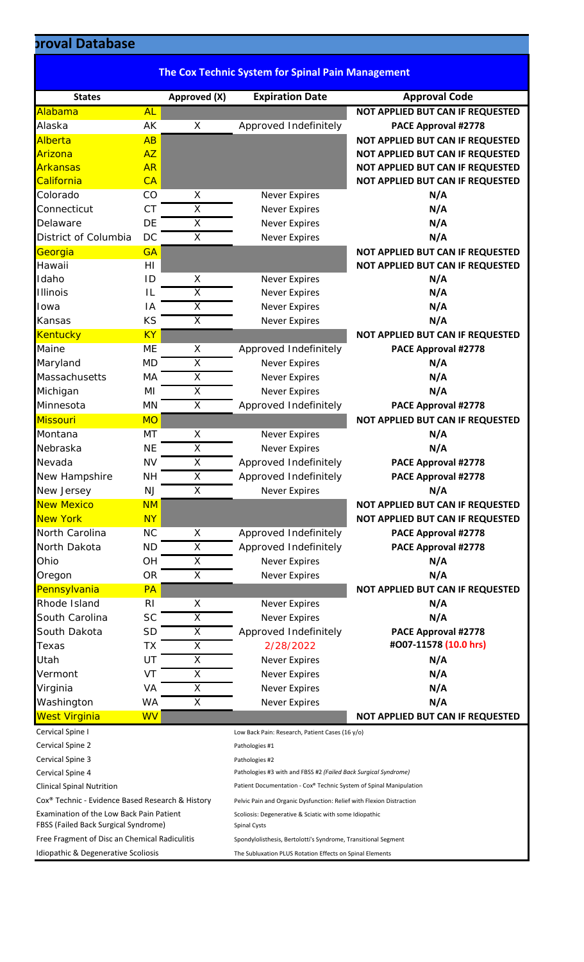## **proval Database**

|                                                                                  |                |                         | <b>The Cox Technic System for Spinal Pain Management</b>                      |                                  |
|----------------------------------------------------------------------------------|----------------|-------------------------|-------------------------------------------------------------------------------|----------------------------------|
| <b>States</b>                                                                    |                | Approved (X)            | <b>Expiration Date</b>                                                        | <b>Approval Code</b>             |
| Alabama                                                                          | <b>AL</b>      |                         |                                                                               | NOT APPLIED BUT CAN IF REQUESTED |
| Alaska                                                                           | AK             | X                       | Approved Indefinitely                                                         | PACE Approval #2778              |
| Alberta                                                                          | AB             |                         |                                                                               | NOT APPLIED BUT CAN IF REQUESTED |
| Arizona                                                                          | <b>AZ</b>      |                         |                                                                               | NOT APPLIED BUT CAN IF REQUESTED |
| Arkansas                                                                         | <b>AR</b>      |                         |                                                                               | NOT APPLIED BUT CAN IF REQUESTED |
| California                                                                       | CA             |                         |                                                                               | NOT APPLIED BUT CAN IF REQUESTED |
| Colorado                                                                         | CO             | X                       | <b>Never Expires</b>                                                          | N/A                              |
| Connecticut                                                                      | <b>CT</b>      | $\overline{\mathsf{x}}$ | <b>Never Expires</b>                                                          | N/A                              |
| Delaware                                                                         | DE             | X                       | <b>Never Expires</b>                                                          | N/A                              |
| District of Columbia                                                             | <b>DC</b>      | $\overline{\mathsf{x}}$ | <b>Never Expires</b>                                                          | N/A                              |
| Georgia                                                                          | <b>GA</b>      |                         |                                                                               | NOT APPLIED BUT CAN IF REQUESTED |
| Hawaii                                                                           | HI             |                         |                                                                               | NOT APPLIED BUT CAN IF REQUESTED |
| Idaho                                                                            | ID             | X                       | <b>Never Expires</b>                                                          | N/A                              |
| <b>Illinois</b>                                                                  | IL             | $\overline{\mathsf{x}}$ | <b>Never Expires</b>                                                          | N/A                              |
| Iowa                                                                             | ΙA             | $\overline{\mathsf{x}}$ | <b>Never Expires</b>                                                          | N/A                              |
| Kansas                                                                           | <b>KS</b>      | X                       | <b>Never Expires</b>                                                          | N/A                              |
| Kentucky                                                                         | <b>KY</b>      |                         |                                                                               | NOT APPLIED BUT CAN IF REQUESTED |
| Maine                                                                            | ME             | X                       | Approved Indefinitely                                                         | PACE Approval #2778              |
| Maryland                                                                         | <b>MD</b>      | Χ                       | <b>Never Expires</b>                                                          | N/A                              |
| Massachusetts                                                                    | MA             | X                       | <b>Never Expires</b>                                                          | N/A                              |
| Michigan                                                                         | MI             | $\overline{\mathsf{x}}$ | <b>Never Expires</b>                                                          | N/A                              |
| Minnesota                                                                        | <b>MN</b>      | X                       | Approved Indefinitely                                                         | PACE Approval #2778              |
| Missouri                                                                         | <b>MO</b>      |                         |                                                                               | NOT APPLIED BUT CAN IF REQUESTED |
| Montana                                                                          | MT             | X                       | <b>Never Expires</b>                                                          | N/A                              |
| Nebraska                                                                         | <b>NE</b>      | $\overline{\mathsf{x}}$ | <b>Never Expires</b>                                                          | N/A                              |
| Nevada                                                                           | <b>NV</b>      | X                       | Approved Indefinitely                                                         | PACE Approval #2778              |
| New Hampshire                                                                    | <b>NH</b>      | $\overline{\mathsf{x}}$ | Approved Indefinitely                                                         | PACE Approval #2778              |
| New Jersey                                                                       | NJ             | X                       | <b>Never Expires</b>                                                          | N/A                              |
| <b>New Mexico</b>                                                                | <b>NM</b>      |                         |                                                                               | NOT APPLIED BUT CAN IF REQUESTED |
| <b>New York</b>                                                                  | <b>NY</b>      |                         |                                                                               | NOT APPLIED BUT CAN IF REQUESTED |
| North Carolina                                                                   | <b>NC</b>      | X                       | Approved Indefinitely                                                         | PACE Approval #2778              |
| North Dakota                                                                     | <b>ND</b>      | $\overline{\mathsf{x}}$ | Approved Indefinitely                                                         | PACE Approval #2778              |
| Ohio                                                                             | OH             | X                       | <b>Never Expires</b>                                                          | N/A                              |
| Oregon                                                                           | <b>OR</b>      | X                       | <b>Never Expires</b>                                                          | N/A                              |
| Pennsylvania                                                                     | <b>PA</b>      |                         |                                                                               | NOT APPLIED BUT CAN IF REQUESTED |
| Rhode Island                                                                     | R <sub>l</sub> | X                       | <b>Never Expires</b>                                                          | N/A                              |
| South Carolina                                                                   | <b>SC</b>      | X                       | <b>Never Expires</b>                                                          | N/A                              |
| South Dakota                                                                     | <b>SD</b>      | Χ                       | Approved Indefinitely                                                         | PACE Approval #2778              |
| Texas                                                                            | ТX             | X                       | 2/28/2022                                                                     | #007-11578 (10.0 hrs)            |
| Utah                                                                             | UT             | X                       | <b>Never Expires</b>                                                          | N/A                              |
| Vermont                                                                          | VT             | X                       | <b>Never Expires</b>                                                          | N/A                              |
| Virginia                                                                         | VA             | $\overline{\mathsf{x}}$ | <b>Never Expires</b>                                                          | N/A                              |
| Washington                                                                       | <b>WA</b>      | X                       | <b>Never Expires</b>                                                          | N/A                              |
| <b>West Virginia</b>                                                             | <b>WV</b>      |                         |                                                                               | NOT APPLIED BUT CAN IF REQUESTED |
| Cervical Spine I                                                                 |                |                         | Low Back Pain: Research, Patient Cases (16 y/o)                               |                                  |
| Cervical Spine 2                                                                 |                |                         | Pathologies #1                                                                |                                  |
| Cervical Spine 3                                                                 |                |                         | Pathologies #2                                                                |                                  |
| Cervical Spine 4                                                                 |                |                         | Pathologies #3 with and FBSS #2 (Failed Back Surgical Syndrome)               |                                  |
| <b>Clinical Spinal Nutrition</b>                                                 |                |                         | Patient Documentation - Cox® Technic System of Spinal Manipulation            |                                  |
| Cox <sup>®</sup> Technic - Evidence Based Research & History                     |                |                         | Pelvic Pain and Organic Dysfunction: Relief with Flexion Distraction          |                                  |
| Examination of the Low Back Pain Patient<br>FBSS (Failed Back Surgical Syndrome) |                |                         | Scoliosis: Degenerative & Sciatic with some Idiopathic<br><b>Spinal Cysts</b> |                                  |
| Free Fragment of Disc an Chemical Radiculitis                                    |                |                         | Spondylolisthesis, Bertolotti's Syndrome, Transitional Segment                |                                  |
| Idiopathic & Degenerative Scoliosis                                              |                |                         | The Subluxation PLUS Rotation Effects on Spinal Elements                      |                                  |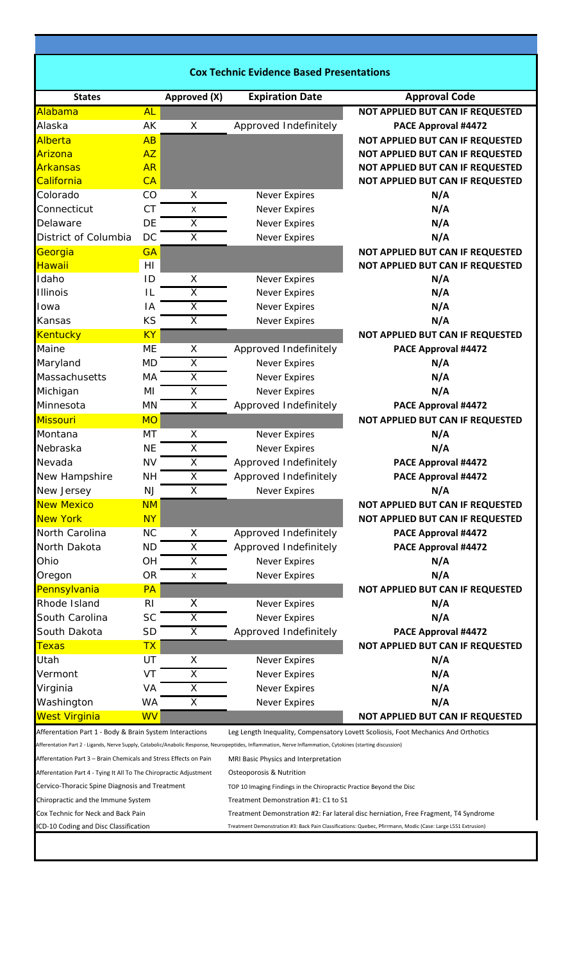| <b>Cox Technic Evidence Based Presentations</b>                    |                |                         |                                                                                                                                                             |                                                                                                              |  |  |  |
|--------------------------------------------------------------------|----------------|-------------------------|-------------------------------------------------------------------------------------------------------------------------------------------------------------|--------------------------------------------------------------------------------------------------------------|--|--|--|
| <b>States</b>                                                      |                | Approved (X)            | <b>Expiration Date</b>                                                                                                                                      | <b>Approval Code</b>                                                                                         |  |  |  |
| Alabama                                                            | <b>AL</b>      |                         |                                                                                                                                                             | <b>NOT APPLIED BUT CAN IF REQUESTED</b>                                                                      |  |  |  |
| Alaska                                                             | AK             | X                       | Approved Indefinitely                                                                                                                                       | PACE Approval #4472                                                                                          |  |  |  |
| Alberta                                                            | AB             |                         |                                                                                                                                                             | NOT APPLIED BUT CAN IF REQUESTED                                                                             |  |  |  |
| Arizona                                                            | AZ             |                         |                                                                                                                                                             | NOT APPLIED BUT CAN IF REQUESTED                                                                             |  |  |  |
| <b>Arkansas</b>                                                    | <b>AR</b>      |                         |                                                                                                                                                             | <b>NOT APPLIED BUT CAN IF REQUESTED</b>                                                                      |  |  |  |
| California                                                         | CA             |                         |                                                                                                                                                             | NOT APPLIED BUT CAN IF REQUESTED                                                                             |  |  |  |
| Colorado                                                           | CO             | X                       | <b>Never Expires</b>                                                                                                                                        | N/A                                                                                                          |  |  |  |
| Connecticut                                                        | <b>CT</b>      | X                       | <b>Never Expires</b>                                                                                                                                        | N/A                                                                                                          |  |  |  |
| Delaware                                                           | <b>DE</b>      | X                       | <b>Never Expires</b>                                                                                                                                        | N/A                                                                                                          |  |  |  |
| District of Columbia                                               | <b>DC</b>      | $\overline{\mathsf{x}}$ | <b>Never Expires</b>                                                                                                                                        | N/A                                                                                                          |  |  |  |
| Georgia                                                            | GA             |                         |                                                                                                                                                             | NOT APPLIED BUT CAN IF REQUESTED                                                                             |  |  |  |
| Hawaii                                                             | HI             |                         |                                                                                                                                                             | NOT APPLIED BUT CAN IF REQUESTED                                                                             |  |  |  |
| Idaho                                                              | ID             | X                       | <b>Never Expires</b>                                                                                                                                        | N/A                                                                                                          |  |  |  |
| <b>Illinois</b>                                                    | ΙL             | X                       | <b>Never Expires</b>                                                                                                                                        | N/A                                                                                                          |  |  |  |
| Iowa                                                               | IA             | $\overline{\mathsf{x}}$ | <b>Never Expires</b>                                                                                                                                        | N/A                                                                                                          |  |  |  |
| Kansas                                                             | KS             | X                       | <b>Never Expires</b>                                                                                                                                        | N/A                                                                                                          |  |  |  |
| Kentucky                                                           | <b>KY</b>      |                         |                                                                                                                                                             | NOT APPLIED BUT CAN IF REQUESTED                                                                             |  |  |  |
| Maine                                                              | <b>ME</b>      | X                       | Approved Indefinitely                                                                                                                                       | PACE Approval #4472                                                                                          |  |  |  |
| Maryland                                                           | <b>MD</b>      | X                       | <b>Never Expires</b>                                                                                                                                        | N/A                                                                                                          |  |  |  |
| Massachusetts                                                      | MA             | X                       | <b>Never Expires</b>                                                                                                                                        | N/A                                                                                                          |  |  |  |
| Michigan                                                           | MI             | $\overline{\mathsf{x}}$ | <b>Never Expires</b>                                                                                                                                        | N/A                                                                                                          |  |  |  |
| Minnesota                                                          | <b>MN</b>      | X                       | Approved Indefinitely                                                                                                                                       | PACE Approval #4472                                                                                          |  |  |  |
| Missouri                                                           | <b>MO</b>      |                         |                                                                                                                                                             | NOT APPLIED BUT CAN IF REQUESTED                                                                             |  |  |  |
| Montana                                                            | MT             | X                       | <b>Never Expires</b>                                                                                                                                        | N/A                                                                                                          |  |  |  |
| Nebraska                                                           | <b>NE</b>      | X                       | <b>Never Expires</b>                                                                                                                                        | N/A                                                                                                          |  |  |  |
| Nevada                                                             | <b>NV</b>      | X                       | Approved Indefinitely                                                                                                                                       | PACE Approval #4472                                                                                          |  |  |  |
| New Hampshire                                                      | <b>NH</b>      | $\overline{\mathsf{x}}$ | Approved Indefinitely                                                                                                                                       | PACE Approval #4472                                                                                          |  |  |  |
| New Jersey                                                         | <b>NJ</b>      | X                       | <b>Never Expires</b>                                                                                                                                        | N/A                                                                                                          |  |  |  |
| <b>New Mexico</b>                                                  | <b>NM</b>      |                         |                                                                                                                                                             | NOT APPLIED BUT CAN IF REQUESTED                                                                             |  |  |  |
| <b>New York</b>                                                    | <b>NY</b>      |                         |                                                                                                                                                             | NOT APPLIED BUT CAN IF REQUESTED                                                                             |  |  |  |
| North Carolina                                                     | <b>NC</b>      | X                       | Approved Indefinitely                                                                                                                                       | PACE Approval #4472                                                                                          |  |  |  |
| North Dakota                                                       | <b>ND</b>      | $\overline{\mathsf{x}}$ | Approved Indefinitely                                                                                                                                       | PACE Approval #4472                                                                                          |  |  |  |
|                                                                    |                |                         |                                                                                                                                                             | N/A                                                                                                          |  |  |  |
| Ohio                                                               | OН             | X                       | <b>Never Expires</b>                                                                                                                                        |                                                                                                              |  |  |  |
| Oregon                                                             | <b>OR</b>      | $\pmb{\times}$          | <b>Never Expires</b>                                                                                                                                        | N/A                                                                                                          |  |  |  |
| Pennsylvania                                                       | <b>PA</b>      |                         |                                                                                                                                                             | NOT APPLIED BUT CAN IF REQUESTED                                                                             |  |  |  |
| Rhode Island                                                       | R <sub>l</sub> | X                       | <b>Never Expires</b>                                                                                                                                        | N/A                                                                                                          |  |  |  |
| South Carolina                                                     | <b>SC</b>      | X                       | <b>Never Expires</b>                                                                                                                                        | N/A                                                                                                          |  |  |  |
| South Dakota                                                       | <b>SD</b>      | X                       | Approved Indefinitely                                                                                                                                       | PACE Approval #4472                                                                                          |  |  |  |
| <b>Texas</b>                                                       | <b>TX</b>      |                         |                                                                                                                                                             | NOT APPLIED BUT CAN IF REQUESTED                                                                             |  |  |  |
| Utah                                                               | UT             | X                       | <b>Never Expires</b>                                                                                                                                        | N/A                                                                                                          |  |  |  |
| Vermont                                                            | VT             | X                       | <b>Never Expires</b>                                                                                                                                        | N/A                                                                                                          |  |  |  |
| Virginia                                                           | VA             | Χ                       | <b>Never Expires</b>                                                                                                                                        | N/A                                                                                                          |  |  |  |
| Washington                                                         | <b>WA</b>      | Χ                       | <b>Never Expires</b>                                                                                                                                        | N/A                                                                                                          |  |  |  |
| <b>West Virginia</b>                                               | <b>WV</b>      |                         |                                                                                                                                                             | NOT APPLIED BUT CAN IF REQUESTED                                                                             |  |  |  |
| Afferentation Part 1 - Body & Brain System Interactions            |                |                         |                                                                                                                                                             | Leg Length Inequality, Compensatory Lovett Scoliosis, Foot Mechanics And Orthotics                           |  |  |  |
|                                                                    |                |                         | Afferentation Part 2 - Ligands, Nerve Supply, Catabolic/Anabolic Response, Neuropeptides, Inflammation, Nerve Inflammation, Cytokines (starting discussion) |                                                                                                              |  |  |  |
| Afferentation Part 3 – Brain Chemicals and Stress Effects on Pain  |                |                         | MRI Basic Physics and Interpretation                                                                                                                        |                                                                                                              |  |  |  |
| Afferentation Part 4 - Tying It All To The Chiropractic Adjustment |                |                         | Osteoporosis & Nutrition                                                                                                                                    |                                                                                                              |  |  |  |
| Cervico-Thoracic Spine Diagnosis and Treatment                     |                |                         | TOP 10 Imaging Findings in the Chiropractic Practice Beyond the Disc                                                                                        |                                                                                                              |  |  |  |
| Chiropractic and the Immune System                                 |                |                         | Treatment Demonstration #1: C1 to S1                                                                                                                        |                                                                                                              |  |  |  |
| Cox Technic for Neck and Back Pain                                 |                |                         | Treatment Demonstration #2: Far lateral disc herniation, Free Fragment, T4 Syndrome                                                                         |                                                                                                              |  |  |  |
| ICD-10 Coding and Disc Classification                              |                |                         |                                                                                                                                                             | Treatment Demonstration #3: Back Pain Classifications: Quebec, Pfirrmann, Modic (Case: Large L5S1 Extrusion) |  |  |  |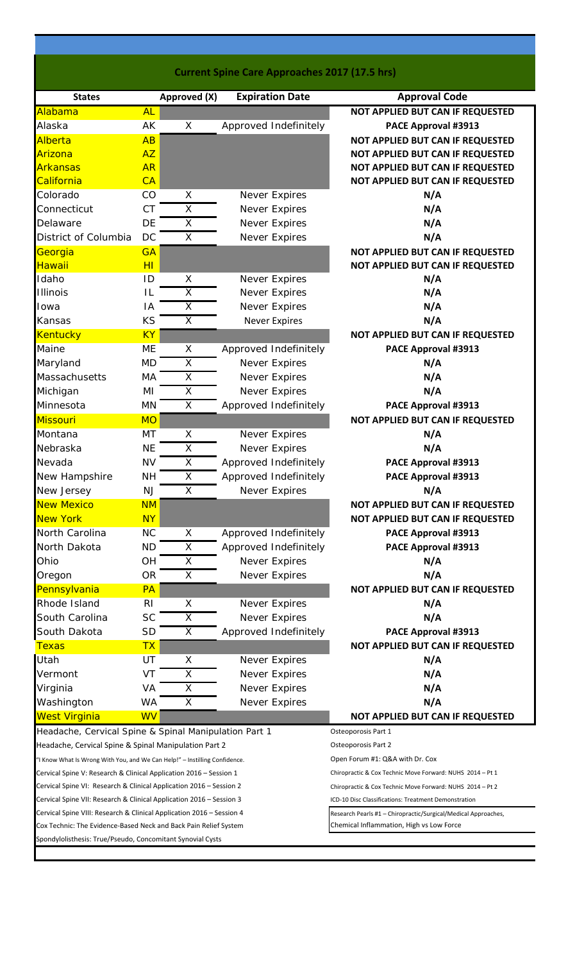| <b>Current Spine Care Approaches 2017 (17.5 hrs)</b>                                                                                        |                |                         |  |                        |                                                                                                                   |  |  |
|---------------------------------------------------------------------------------------------------------------------------------------------|----------------|-------------------------|--|------------------------|-------------------------------------------------------------------------------------------------------------------|--|--|
| <b>States</b>                                                                                                                               |                | Approved (X)            |  | <b>Expiration Date</b> | <b>Approval Code</b>                                                                                              |  |  |
| Alabama                                                                                                                                     | <b>AL</b>      |                         |  |                        | NOT APPLIED BUT CAN IF REQUESTED                                                                                  |  |  |
| Alaska                                                                                                                                      | AK             | X                       |  | Approved Indefinitely  | PACE Approval #3913                                                                                               |  |  |
| Alberta                                                                                                                                     | AB             |                         |  |                        | NOT APPLIED BUT CAN IF REQUESTED                                                                                  |  |  |
| <b>Arizona</b>                                                                                                                              | <b>AZ</b>      |                         |  |                        | NOT APPLIED BUT CAN IF REQUESTED                                                                                  |  |  |
| <b>Arkansas</b>                                                                                                                             | <b>AR</b>      |                         |  |                        | NOT APPLIED BUT CAN IF REQUESTED                                                                                  |  |  |
| California                                                                                                                                  | CA             |                         |  |                        | NOT APPLIED BUT CAN IF REQUESTED                                                                                  |  |  |
| Colorado                                                                                                                                    | CO             | Χ                       |  | <b>Never Expires</b>   | N/A                                                                                                               |  |  |
| Connecticut                                                                                                                                 | <b>CT</b>      | $\overline{\mathsf{x}}$ |  | Never Expires          | N/A                                                                                                               |  |  |
| Delaware                                                                                                                                    | DE             | X                       |  | Never Expires          | N/A                                                                                                               |  |  |
| District of Columbia                                                                                                                        | DC             | X                       |  | Never Expires          | N/A                                                                                                               |  |  |
| Georgia                                                                                                                                     | <b>GA</b>      |                         |  |                        | NOT APPLIED BUT CAN IF REQUESTED                                                                                  |  |  |
| <b>Hawaii</b>                                                                                                                               | H <sub>I</sub> |                         |  |                        | NOT APPLIED BUT CAN IF REQUESTED                                                                                  |  |  |
| Idaho                                                                                                                                       | ID             | Χ                       |  | Never Expires          | N/A                                                                                                               |  |  |
| <b>Illinois</b>                                                                                                                             | IL             | Χ                       |  | Never Expires          | N/A                                                                                                               |  |  |
| Iowa                                                                                                                                        | IA             | $\overline{\mathsf{x}}$ |  | Never Expires          | N/A                                                                                                               |  |  |
| Kansas                                                                                                                                      | KS             | X                       |  | <b>Never Expires</b>   | N/A                                                                                                               |  |  |
| <b>Kentucky</b>                                                                                                                             | <b>KY</b>      |                         |  |                        | NOT APPLIED BUT CAN IF REQUESTED                                                                                  |  |  |
| Maine                                                                                                                                       | ME             | X                       |  | Approved Indefinitely  | PACE Approval #3913                                                                                               |  |  |
| Maryland                                                                                                                                    | <b>MD</b>      | Χ                       |  | Never Expires          | N/A                                                                                                               |  |  |
| Massachusetts                                                                                                                               | MA             | $\overline{X}$          |  | Never Expires          | N/A                                                                                                               |  |  |
| Michigan                                                                                                                                    | MI             | $\overline{\mathsf{X}}$ |  | Never Expires          | N/A                                                                                                               |  |  |
| Minnesota                                                                                                                                   | MN             | X                       |  | Approved Indefinitely  | PACE Approval #3913                                                                                               |  |  |
| <b>Missouri</b>                                                                                                                             | <b>MO</b>      |                         |  |                        | NOT APPLIED BUT CAN IF REQUESTED                                                                                  |  |  |
| Montana                                                                                                                                     | MT             | X                       |  | Never Expires          | N/A                                                                                                               |  |  |
| Nebraska                                                                                                                                    | <b>NE</b>      | X                       |  | Never Expires          | N/A                                                                                                               |  |  |
| Nevada                                                                                                                                      | <b>NV</b>      | $\overline{\mathsf{X}}$ |  | Approved Indefinitely  | PACE Approval #3913                                                                                               |  |  |
| New Hampshire                                                                                                                               | <b>NH</b>      | $\overline{\mathsf{X}}$ |  | Approved Indefinitely  | PACE Approval #3913                                                                                               |  |  |
| New Jersey                                                                                                                                  | <b>NJ</b>      | $\overline{\mathsf{x}}$ |  | Never Expires          | N/A                                                                                                               |  |  |
| <b>New Mexico</b>                                                                                                                           | <b>NM</b>      |                         |  |                        | <b>NOT APPLIED BUT CAN IF REQUESTED</b>                                                                           |  |  |
| <b>New York</b>                                                                                                                             | <b>NY</b>      |                         |  |                        | <b>NOT APPLIED BUT CAN IF REQUESTED</b>                                                                           |  |  |
| North Carolina                                                                                                                              | <b>NC</b>      | X                       |  | Approved Indefinitely  | PACE Approval #3913                                                                                               |  |  |
| North Dakota                                                                                                                                | <b>ND</b>      | $\overline{\mathsf{X}}$ |  | Approved Indefinitely  | <b>PACE Approval #3913</b>                                                                                        |  |  |
| Ohio                                                                                                                                        | OH             | X                       |  | <b>Never Expires</b>   | N/A                                                                                                               |  |  |
| Oregon                                                                                                                                      | <b>OR</b>      | $\overline{\mathsf{x}}$ |  | <b>Never Expires</b>   | N/A                                                                                                               |  |  |
| Pennsylvania                                                                                                                                | PA             |                         |  |                        | NOT APPLIED BUT CAN IF REQUESTED                                                                                  |  |  |
| Rhode Island                                                                                                                                | <b>RI</b>      | Χ                       |  | Never Expires          | N/A                                                                                                               |  |  |
| South Carolina                                                                                                                              | <b>SC</b>      | X                       |  | Never Expires          | N/A                                                                                                               |  |  |
| South Dakota                                                                                                                                | <b>SD</b>      | X                       |  | Approved Indefinitely  | PACE Approval #3913                                                                                               |  |  |
| <b>Texas</b>                                                                                                                                | <b>TX</b>      |                         |  |                        | NOT APPLIED BUT CAN IF REQUESTED                                                                                  |  |  |
| Utah                                                                                                                                        | UT             | X                       |  | Never Expires          | N/A                                                                                                               |  |  |
| Vermont                                                                                                                                     | VT             | X                       |  | <b>Never Expires</b>   | N/A                                                                                                               |  |  |
|                                                                                                                                             | VA             | Χ                       |  | <b>Never Expires</b>   | N/A                                                                                                               |  |  |
| Virginia<br>Washington                                                                                                                      | WA             | $\overline{\mathsf{X}}$ |  | Never Expires          | N/A                                                                                                               |  |  |
| <b>West Virginia</b>                                                                                                                        | <b>WV</b>      |                         |  |                        | NOT APPLIED BUT CAN IF REQUESTED                                                                                  |  |  |
|                                                                                                                                             |                |                         |  |                        |                                                                                                                   |  |  |
| Headache, Cervical Spine & Spinal Manipulation Part 1                                                                                       |                |                         |  |                        | Osteoporosis Part 1                                                                                               |  |  |
| Headache, Cervical Spine & Spinal Manipulation Part 2                                                                                       |                |                         |  |                        | Osteoporosis Part 2                                                                                               |  |  |
| "I Know What Is Wrong With You, and We Can Help!" - Instilling Confidence.                                                                  |                |                         |  |                        | Open Forum #1: Q&A with Dr. Cox                                                                                   |  |  |
| Cervical Spine V: Research & Clinical Application 2016 – Session 1                                                                          |                |                         |  |                        | Chiropractic & Cox Technic Move Forward: NUHS 2014 - Pt 1                                                         |  |  |
| Cervical Spine VI: Research & Clinical Application 2016 – Session 2<br>Cervical Spine VII: Research & Clinical Application 2016 – Session 3 |                |                         |  |                        | Chiropractic & Cox Technic Move Forward: NUHS 2014 - Pt 2<br>ICD-10 Disc Classifications: Treatment Demonstration |  |  |
| Cervical Spine VIII: Research & Clinical Application 2016 - Session 4                                                                       |                |                         |  |                        | Research Pearls #1 - Chiropractic/Surgical/Medical Approaches,                                                    |  |  |
|                                                                                                                                             |                |                         |  |                        | Chemical Inflammation, High vs Low Force                                                                          |  |  |
| Cox Technic: The Evidence-Based Neck and Back Pain Relief System<br>Spondylolisthesis: True/Pseudo, Concomitant Synovial Cysts              |                |                         |  |                        |                                                                                                                   |  |  |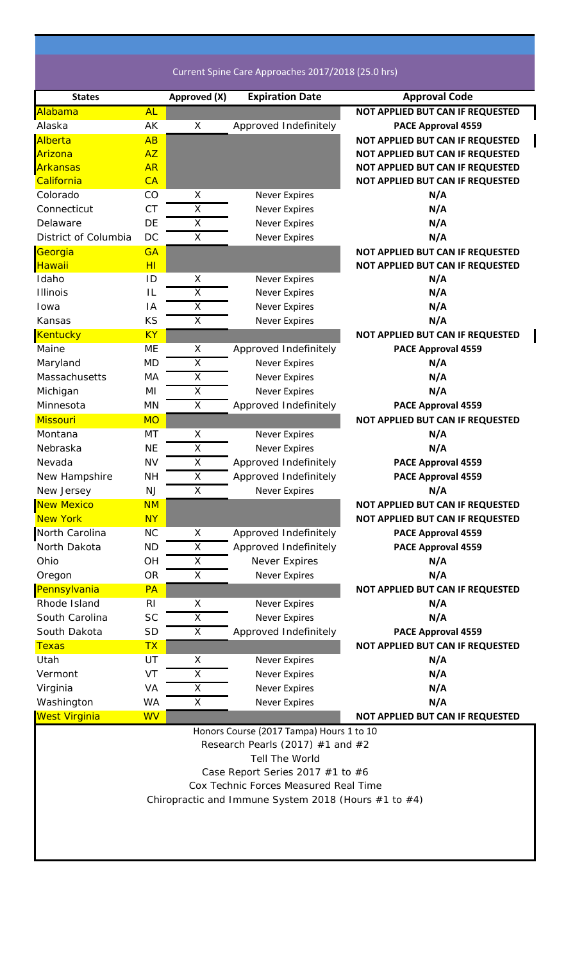Current Spine Care Approaches 2017/2018 (25.0 hrs)

| <b>States</b>        |                | Approved (X)            | <b>Expiration Date</b>                                    | <b>Approval Code</b>                    |
|----------------------|----------------|-------------------------|-----------------------------------------------------------|-----------------------------------------|
| Alabama              | <b>AL</b>      |                         |                                                           | NOT APPLIED BUT CAN IF REQUESTED        |
| Alaska               | AK             | $\mathsf X$             | Approved Indefinitely                                     | <b>PACE Approval 4559</b>               |
| Alberta              | AB             |                         |                                                           | NOT APPLIED BUT CAN IF REQUESTED        |
| Arizona              | <b>AZ</b>      |                         |                                                           | <b>NOT APPLIED BUT CAN IF REQUESTED</b> |
| <b>Arkansas</b>      | <b>AR</b>      |                         |                                                           | NOT APPLIED BUT CAN IF REQUESTED        |
| California           | CA             |                         |                                                           | NOT APPLIED BUT CAN IF REQUESTED        |
| Colorado             | CO             | X                       | <b>Never Expires</b>                                      | N/A                                     |
| Connecticut          | <b>CT</b>      | $\overline{\mathsf{X}}$ | <b>Never Expires</b>                                      | N/A                                     |
| Delaware             | DE             | $\overline{\mathsf{X}}$ | <b>Never Expires</b>                                      | N/A                                     |
| District of Columbia | DC             | Χ                       | <b>Never Expires</b>                                      | N/A                                     |
| Georgia              | <b>GA</b>      |                         |                                                           | NOT APPLIED BUT CAN IF REQUESTED        |
| Hawaii               | H              |                         |                                                           | NOT APPLIED BUT CAN IF REQUESTED        |
| Idaho                | ID             | Х                       | <b>Never Expires</b>                                      | N/A                                     |
| <b>Illinois</b>      | IL             | Χ                       | <b>Never Expires</b>                                      | N/A                                     |
| Iowa                 | IA             | Χ                       | <b>Never Expires</b>                                      | N/A                                     |
| Kansas               | KS             | $\overline{\mathsf{x}}$ | <b>Never Expires</b>                                      | N/A                                     |
| Kentucky             | <b>KY</b>      |                         |                                                           | NOT APPLIED BUT CAN IF REQUESTED        |
| Maine                | ME             | Χ                       | Approved Indefinitely                                     | PACE Approval 4559                      |
| Maryland             | <b>MD</b>      | Χ                       | <b>Never Expires</b>                                      | N/A                                     |
| Massachusetts        | MA             | $\overline{\mathsf{x}}$ | <b>Never Expires</b>                                      | N/A                                     |
| Michigan             | MI             | X                       | <b>Never Expires</b>                                      | N/A                                     |
| Minnesota            | MN             | $\overline{X}$          | Approved Indefinitely                                     | <b>PACE Approval 4559</b>               |
| <b>Missouri</b>      | <b>MO</b>      |                         |                                                           | NOT APPLIED BUT CAN IF REQUESTED        |
| Montana              | MT             | X                       | <b>Never Expires</b>                                      | N/A                                     |
| Nebraska             | <b>NE</b>      | X                       | <b>Never Expires</b>                                      | N/A                                     |
| Nevada               | <b>NV</b>      | $\overline{\mathsf{X}}$ | Approved Indefinitely                                     | PACE Approval 4559                      |
| New Hampshire        | <b>NH</b>      | $\overline{X}$          | Approved Indefinitely                                     | PACE Approval 4559                      |
| New Jersey           | <b>NJ</b>      | Χ                       | <b>Never Expires</b>                                      | N/A                                     |
| <b>New Mexico</b>    | <b>NM</b>      |                         |                                                           | NOT APPLIED BUT CAN IF REQUESTED        |
| <b>New York</b>      | <u>NY</u>      |                         |                                                           | <b>NOT APPLIED BUT CAN IF REQUESTED</b> |
| North Carolina       | <b>NC</b>      | Χ                       | Approved Indefinitely                                     | PACE Approval 4559                      |
| North Dakota         | <b>ND</b>      | Χ                       | Approved Indefinitely                                     | PACE Approval 4559                      |
| Ohio                 | OH             | Χ                       | Never Expires                                             | N/A                                     |
| Oregon               | <b>OR</b>      | X                       | <b>Never Expires</b>                                      | N/A                                     |
| Pennsylvania         | <b>PA</b>      |                         |                                                           | NOT APPLIED BUT CAN IF REQUESTED        |
| Rhode Island         | R <sub>l</sub> | X                       | <b>Never Expires</b>                                      | N/A                                     |
| South Carolina       | <b>SC</b>      | $\overline{\mathsf{X}}$ | <b>Never Expires</b>                                      | N/A                                     |
| South Dakota         | <b>SD</b>      | X                       | Approved Indefinitely                                     | PACE Approval 4559                      |
| <b>Texas</b>         | <b>TX</b>      |                         |                                                           | NOT APPLIED BUT CAN IF REQUESTED        |
| Utah                 | UT             | X                       |                                                           | N/A                                     |
| Vermont              | VT             | X                       | <b>Never Expires</b>                                      | N/A                                     |
|                      |                |                         | <b>Never Expires</b>                                      | N/A                                     |
| Virginia             | VA             | X                       | <b>Never Expires</b>                                      | N/A                                     |
| Washington           | WA             | Χ                       | <b>Never Expires</b>                                      |                                         |
| West Virginia        | <b>WV</b>      |                         |                                                           | NOT APPLIED BUT CAN IF REQUESTED        |
|                      |                |                         | Honors Course (2017 Tampa) Hours 1 to 10                  |                                         |
|                      |                |                         | Research Pearls (2017) $#1$ and $#2$                      |                                         |
|                      |                |                         | <b>Tell The World</b>                                     |                                         |
|                      |                |                         | Case Report Series 2017 #1 to #6                          |                                         |
|                      |                |                         | Cox Technic Forces Measured Real Time                     |                                         |
|                      |                |                         | Chiropractic and Immune System 2018 (Hours $#1$ to $#4$ ) |                                         |
|                      |                |                         |                                                           |                                         |
|                      |                |                         |                                                           |                                         |
|                      |                |                         |                                                           |                                         |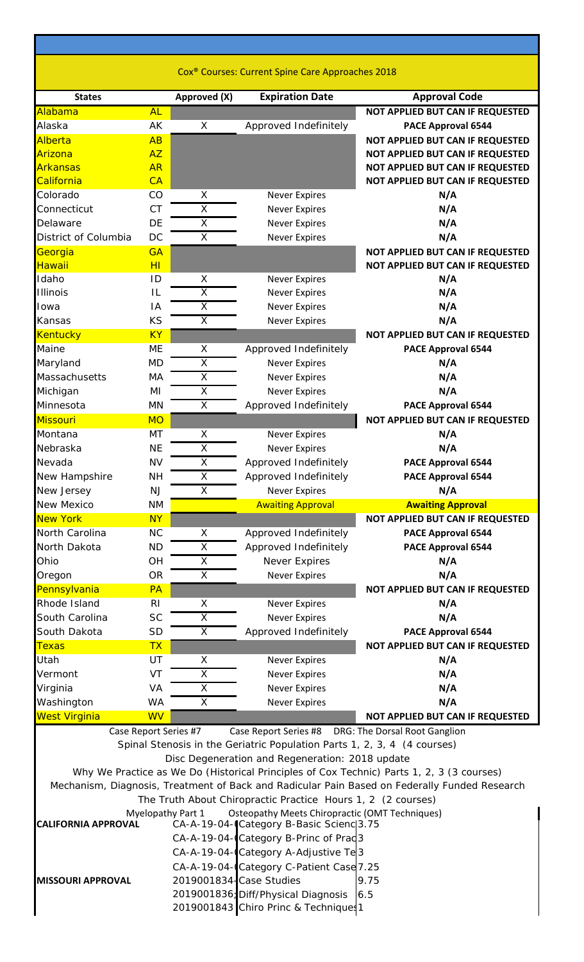| <b>States</b>              |                 | Approved (X)                                       | <b>Expiration Date</b>                                                       | <b>Approval Code</b>                                                                          |
|----------------------------|-----------------|----------------------------------------------------|------------------------------------------------------------------------------|-----------------------------------------------------------------------------------------------|
| Alabama                    | <b>AL</b>       |                                                    |                                                                              | NOT APPLIED BUT CAN IF REQUESTED                                                              |
| Alaska                     | AK              | X                                                  | Approved Indefinitely                                                        | PACE Approval 6544                                                                            |
| Alberta                    | AB              |                                                    |                                                                              | NOT APPLIED BUT CAN IF REQUESTED                                                              |
| Arizona                    | <b>AZ</b>       |                                                    |                                                                              | NOT APPLIED BUT CAN IF REQUESTED                                                              |
| Arkansas                   | <b>AR</b>       |                                                    |                                                                              | NOT APPLIED BUT CAN IF REQUESTED                                                              |
| California                 | CA              |                                                    |                                                                              | NOT APPLIED BUT CAN IF REQUESTED                                                              |
| Colorado                   | CO<br><b>CT</b> | X                                                  | <b>Never Expires</b>                                                         | N/A                                                                                           |
| Connecticut<br>Delaware    | DE              | $\overline{\mathsf{x}}$<br>$\overline{\mathsf{x}}$ | <b>Never Expires</b>                                                         | N/A<br>N/A                                                                                    |
|                            | DC              | $\overline{\mathsf{x}}$                            | <b>Never Expires</b>                                                         |                                                                                               |
| District of Columbia       | <b>GA</b>       |                                                    | <b>Never Expires</b>                                                         | N/A                                                                                           |
| Georgia<br>Hawaii          | H <sub>I</sub>  |                                                    |                                                                              | NOT APPLIED BUT CAN IF REQUESTED<br>NOT APPLIED BUT CAN IF REQUESTED                          |
| Idaho                      | ID              | X                                                  | <b>Never Expires</b>                                                         | N/A                                                                                           |
| <b>Illinois</b>            | IL              | X                                                  | <b>Never Expires</b>                                                         | N/A                                                                                           |
| Iowa                       | IA              | $\overline{\mathsf{x}}$                            | <b>Never Expires</b>                                                         | N/A                                                                                           |
| Kansas                     | KS              | X                                                  | <b>Never Expires</b>                                                         | N/A                                                                                           |
| Kentucky                   | <b>KY</b>       |                                                    |                                                                              | NOT APPLIED BUT CAN IF REQUESTED                                                              |
| Maine                      | ME              | X                                                  | Approved Indefinitely                                                        | PACE Approval 6544                                                                            |
| Maryland                   | <b>MD</b>       | $\overline{\mathsf{X}}$                            | <b>Never Expires</b>                                                         | N/A                                                                                           |
| Massachusetts              | MA              | $\overline{\mathsf{x}}$                            | <b>Never Expires</b>                                                         | N/A                                                                                           |
| Michigan                   | MI              | $\overline{\mathsf{x}}$                            | <b>Never Expires</b>                                                         | N/A                                                                                           |
| Minnesota                  | <b>MN</b>       | X                                                  | Approved Indefinitely                                                        | PACE Approval 6544                                                                            |
| Missouri                   | <b>MO</b>       |                                                    |                                                                              | NOT APPLIED BUT CAN IF REQUESTED                                                              |
| Montana                    | MT              | X                                                  | <b>Never Expires</b>                                                         | N/A                                                                                           |
| Nebraska                   | <b>NE</b>       | X                                                  | <b>Never Expires</b>                                                         | N/A                                                                                           |
| Nevada                     | <b>NV</b>       | X                                                  | Approved Indefinitely                                                        | PACE Approval 6544                                                                            |
| New Hampshire              | <b>NH</b>       | $\overline{\mathsf{X}}$                            | Approved Indefinitely                                                        | PACE Approval 6544                                                                            |
| New Jersey                 | NJ              | $\overline{X}$                                     | <b>Never Expires</b>                                                         | N/A                                                                                           |
| <b>New Mexico</b>          | <b>NM</b>       |                                                    | <b>Awaiting Approval</b>                                                     | <b>Awaiting Approval</b>                                                                      |
| <b>New York</b>            | <b>NY</b>       |                                                    |                                                                              | NOT APPLIED BUT CAN IF REQUESTED                                                              |
| North Carolina             | <b>NC</b>       | X                                                  | Approved Indefinitely                                                        | PACE Approval 6544                                                                            |
| North Dakota               | <b>ND</b>       | $\overline{X}$                                     | Approved Indefinitely                                                        | <b>PACE Approval 6544</b>                                                                     |
| Ohio                       | OH              | X                                                  | Never Expires                                                                | N/A                                                                                           |
| Oregon                     | <b>OR</b>       | $\overline{\mathsf{x}}$                            | <b>Never Expires</b>                                                         | N/A                                                                                           |
| Pennsylvania               |                 |                                                    |                                                                              | NOT APPLIED BUT CAN IF REQUESTED                                                              |
| Rhode Island               | PA              |                                                    |                                                                              |                                                                                               |
|                            | R <sub>l</sub>  | X                                                  | <b>Never Expires</b>                                                         | N/A                                                                                           |
| South Carolina             | <b>SC</b>       | $\overline{\mathsf{x}}$                            | <b>Never Expires</b>                                                         | N/A                                                                                           |
| South Dakota               | <b>SD</b>       | X                                                  | Approved Indefinitely                                                        | PACE Approval 6544                                                                            |
| <b>Texas</b>               | <b>TX</b>       |                                                    |                                                                              | NOT APPLIED BUT CAN IF REQUESTED                                                              |
| Utah                       | UT              | X                                                  | <b>Never Expires</b>                                                         | N/A                                                                                           |
| Vermont                    | VT              | X                                                  | <b>Never Expires</b>                                                         | N/A                                                                                           |
| Virginia                   | VA              | X                                                  | <b>Never Expires</b>                                                         | N/A                                                                                           |
| Washington                 | WA              | $\overline{\mathsf{x}}$                            | <b>Never Expires</b>                                                         | N/A                                                                                           |
| <b>West Virginia</b>       | <b>WV</b>       |                                                    |                                                                              | NOT APPLIED BUT CAN IF REQUESTED                                                              |
|                            |                 | Case Report Series #7                              | Case Report Series #8 DRG: The Dorsal Root Ganglion                          |                                                                                               |
|                            |                 |                                                    | Spinal Stenosis in the Geriatric Population Parts 1, 2, 3, 4 (4 courses)     |                                                                                               |
|                            |                 |                                                    | Disc Degeneration and Regeneration: 2018 update                              |                                                                                               |
|                            |                 |                                                    |                                                                              | Why We Practice as We Do (Historical Principles of Cox Technic) Parts 1, 2, 3 (3 courses)     |
|                            |                 |                                                    |                                                                              | Mechanism, Diagnosis, Treatment of Back and Radicular Pain Based on Federally Funded Research |
|                            |                 |                                                    | The Truth About Chiropractic Practice Hours 1, 2 (2 courses)                 |                                                                                               |
|                            |                 | Myelopathy Part 1                                  | Osteopathy Meets Chiropractic (OMT Techniques)                               |                                                                                               |
| <b>CALIFORNIA APPROVAL</b> |                 |                                                    | CA-A-19-04-Category B-Basic Scienc 3.75                                      |                                                                                               |
|                            |                 |                                                    | CA-A-19-04-Category B-Princ of Prad 3                                        |                                                                                               |
|                            |                 |                                                    | CA-A-19-04-Category A-Adjustive Te3                                          |                                                                                               |
|                            |                 |                                                    | CA-A-19-04-Category C-Patient Case 7.25                                      |                                                                                               |
| <b>MISSOURI APPROVAL</b>   |                 | 2019001834-Case Studies                            |                                                                              | 9.75<br>6.5                                                                                   |
|                            |                 |                                                    | 2019001836; Diff/Physical Diagnosis<br>2019001843 Chiro Princ & Techniques 1 |                                                                                               |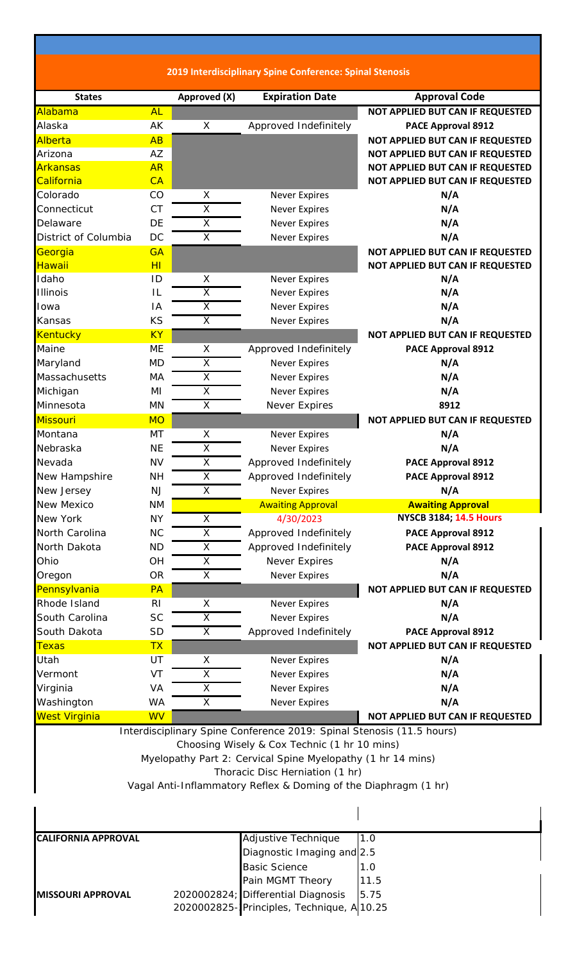**2019 Interdisciplinary Spine Conference: Spinal Stenosis**

| <b>States</b>              |                | Approved (X)            | <b>Expiration Date</b>                                                | <b>Approval Code</b>             |
|----------------------------|----------------|-------------------------|-----------------------------------------------------------------------|----------------------------------|
| Alabama                    | <b>AL</b>      |                         |                                                                       | NOT APPLIED BUT CAN IF REQUESTED |
| Alaska                     | AK             | X                       | Approved Indefinitely                                                 | <b>PACE Approval 8912</b>        |
| Alberta                    | AB             |                         |                                                                       | NOT APPLIED BUT CAN IF REQUESTED |
| Arizona                    | AZ             |                         |                                                                       | NOT APPLIED BUT CAN IF REQUESTED |
| <b>Arkansas</b>            | <b>AR</b>      |                         |                                                                       | NOT APPLIED BUT CAN IF REQUESTED |
| California                 | CA             |                         |                                                                       | NOT APPLIED BUT CAN IF REQUESTED |
| Colorado                   | CO             | X                       | <b>Never Expires</b>                                                  | N/A                              |
| Connecticut                | <b>CT</b>      | $\overline{X}$          | <b>Never Expires</b>                                                  | N/A                              |
| Delaware                   | DE             | $\overline{\mathsf{X}}$ | <b>Never Expires</b>                                                  | N/A                              |
| District of Columbia       | DC             | X                       | <b>Never Expires</b>                                                  | N/A                              |
| Georgia                    | <b>GA</b>      |                         |                                                                       | NOT APPLIED BUT CAN IF REQUESTED |
| Hawaii                     | H <sub>I</sub> |                         |                                                                       | NOT APPLIED BUT CAN IF REQUESTED |
| Idaho                      | ID             | X                       | <b>Never Expires</b>                                                  | N/A                              |
| <b>Illinois</b>            | L              | $\overline{\mathsf{x}}$ | <b>Never Expires</b>                                                  | N/A                              |
| Iowa                       | IA             | X                       | <b>Never Expires</b>                                                  | N/A                              |
| Kansas                     | KS             | $\overline{X}$          | <b>Never Expires</b>                                                  | N/A                              |
| <b>Kentucky</b>            | <b>KY</b>      |                         |                                                                       | NOT APPLIED BUT CAN IF REQUESTED |
| Maine                      | <b>ME</b>      | X                       | Approved Indefinitely                                                 | PACE Approval 8912               |
| Maryland                   | <b>MD</b>      | X                       | <b>Never Expires</b>                                                  | N/A                              |
| Massachusetts              | MA             | $\overline{\mathsf{X}}$ | <b>Never Expires</b>                                                  | N/A                              |
| Michigan                   | MI             | $\overline{\mathsf{x}}$ | <b>Never Expires</b>                                                  | N/A                              |
| Minnesota                  | <b>MN</b>      | X                       | Never Expires                                                         | 8912                             |
| Missouri                   | <b>MO</b>      |                         |                                                                       | NOT APPLIED BUT CAN IF REQUESTED |
| Montana                    | MT             | X                       | <b>Never Expires</b>                                                  | N/A                              |
| Nebraska                   | <b>NE</b>      | X                       | <b>Never Expires</b>                                                  | N/A                              |
| Nevada                     | <b>NV</b>      | X                       | Approved Indefinitely                                                 | <b>PACE Approval 8912</b>        |
| New Hampshire              | <b>NH</b>      | $\overline{\mathsf{X}}$ | Approved Indefinitely                                                 | PACE Approval 8912               |
| New Jersey                 | <b>NJ</b>      | $\overline{\mathsf{x}}$ | <b>Never Expires</b>                                                  | N/A                              |
| New Mexico                 | <b>NM</b>      |                         | <b>Awaiting Approval</b>                                              | <b>Awaiting Approval</b>         |
| New York                   | <b>NY</b>      | X                       | 4/30/2023                                                             | <b>NYSCB 3184; 14.5 Hours</b>    |
| North Carolina             | <b>NC</b>      | Χ                       | Approved Indefinitely                                                 | <b>PACE Approval 8912</b>        |
| North Dakota               | <b>ND</b>      | X                       | Approved Indefinitely                                                 | PACE Approval 8912               |
| Ohio                       | OH             | X                       | Never Expires                                                         | N/A                              |
| Oregon                     | <b>OR</b>      | X                       | <b>Never Expires</b>                                                  | N/A                              |
| Pennsylvania               | PA             |                         |                                                                       | NOT APPLIED BUT CAN IF REQUESTED |
| Rhode Island               | R <sub>l</sub> | X                       | <b>Never Expires</b>                                                  | N/A                              |
| South Carolina             | <b>SC</b>      | $\overline{X}$          | <b>Never Expires</b>                                                  | N/A                              |
| South Dakota               | <b>SD</b>      | X                       | Approved Indefinitely                                                 | PACE Approval 8912               |
| <b>Texas</b>               | <b>TX</b>      |                         |                                                                       | NOT APPLIED BUT CAN IF REQUESTED |
| Utah                       | UT             | Χ                       | <b>Never Expires</b>                                                  | N/A                              |
| Vermont                    | VT             | Χ                       | <b>Never Expires</b>                                                  | N/A                              |
| Virginia                   | VA             | Χ                       | <b>Never Expires</b>                                                  | N/A                              |
| Washington                 | <b>WA</b>      | X                       | <b>Never Expires</b>                                                  | N/A                              |
| <b>West Virginia</b>       | <b>WV</b>      |                         |                                                                       | NOT APPLIED BUT CAN IF REQUESTED |
|                            |                |                         |                                                                       |                                  |
|                            |                |                         | Interdisciplinary Spine Conference 2019: Spinal Stenosis (11.5 hours) |                                  |
|                            |                |                         | Choosing Wisely & Cox Technic (1 hr 10 mins)                          |                                  |
|                            |                |                         | Myelopathy Part 2: Cervical Spine Myelopathy (1 hr 14 mins)           |                                  |
|                            |                |                         | Thoracic Disc Herniation (1 hr)                                       |                                  |
|                            |                |                         | Vagal Anti-Inflammatory Reflex & Doming of the Diaphragm (1 hr)       |                                  |
|                            |                |                         |                                                                       |                                  |
|                            |                |                         |                                                                       |                                  |
| <b>CALIFORNIA APPROVAL</b> |                |                         | <b>Adjustive Technique</b>                                            | 1.0                              |
|                            |                |                         | Diagnostic Imaging and 2.5                                            |                                  |
|                            |                |                         | <b>Basic Science</b>                                                  | 1.0                              |
|                            |                |                         | Pain MGMT Theory                                                      | 11.5                             |
| <b>MISSOURI APPROVAL</b>   |                |                         | 2020002824; Differential Diagnosis                                    | 5.75                             |
|                            |                |                         | 2020002825-Principles, Technique, A 10.25                             |                                  |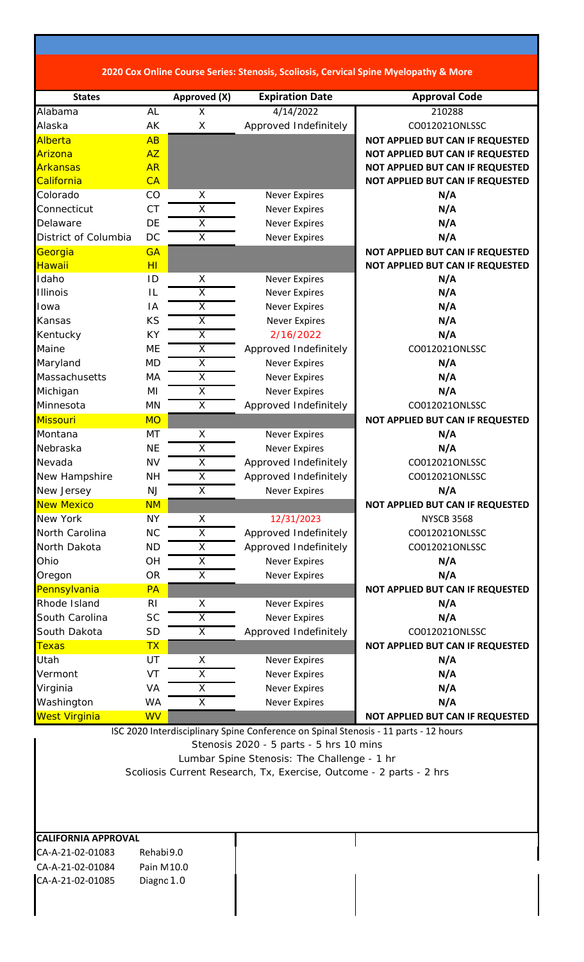|                      |                |                         |                        | 2020 Cox Online Course Series: Stenosis, Scoliosis, Cervical Spine Myelopathy & More |
|----------------------|----------------|-------------------------|------------------------|--------------------------------------------------------------------------------------|
|                      |                |                         |                        |                                                                                      |
| <b>States</b>        |                | Approved (X)            | <b>Expiration Date</b> | <b>Approval Code</b>                                                                 |
| Alabama              | AL             | X                       | 4/14/2022              | 210288                                                                               |
| Alaska               | AK             | X                       | Approved Indefinitely  | CO012021ONLSSC                                                                       |
| Alberta              | AB             |                         |                        | NOT APPLIED BUT CAN IF REQUESTED                                                     |
| Arizona              | AZ             |                         |                        | NOT APPLIED BUT CAN IF REQUESTED                                                     |
| <b>Arkansas</b>      | <b>AR</b>      |                         |                        | NOT APPLIED BUT CAN IF REQUESTED                                                     |
| California           | CA             |                         |                        | NOT APPLIED BUT CAN IF REQUESTED                                                     |
| Colorado             | CO             | X                       | <b>Never Expires</b>   | N/A                                                                                  |
| Connecticut          | <b>CT</b>      | $\overline{\mathsf{x}}$ | <b>Never Expires</b>   | N/A                                                                                  |
| Delaware             | DE             | $\overline{X}$          | <b>Never Expires</b>   | N/A                                                                                  |
| District of Columbia | DC             | $\overline{\mathsf{x}}$ | <b>Never Expires</b>   | N/A                                                                                  |
| Georgia              | <b>GA</b>      |                         |                        | NOT APPLIED BUT CAN IF REQUESTED                                                     |
| Hawaii               | H <sub>I</sub> |                         |                        | NOT APPLIED BUT CAN IF REQUESTED                                                     |
| Idaho                | ID             | X                       | <b>Never Expires</b>   | N/A                                                                                  |
| <b>Illinois</b>      | IL             | X                       | <b>Never Expires</b>   | N/A                                                                                  |
| Iowa                 | IA             | $\overline{\mathsf{x}}$ | <b>Never Expires</b>   | N/A                                                                                  |
| Kansas               | KS             | X                       | <b>Never Expires</b>   | N/A                                                                                  |
| Kentucky             | <b>KY</b>      | $\overline{\mathsf{x}}$ | 2/16/2022              | N/A                                                                                  |
| Maine                | ME             | X                       | Approved Indefinitely  | CO012021ONLSSC                                                                       |
| Maryland             | <b>MD</b>      | $\overline{X}$          | <b>Never Expires</b>   | N/A                                                                                  |
| Massachusetts        | MA             | $\overline{\mathsf{x}}$ | <b>Never Expires</b>   | N/A                                                                                  |
| Michigan             | MI             | $\overline{\mathsf{x}}$ | <b>Never Expires</b>   | N/A                                                                                  |
| Minnesota            | MN             | X                       | Approved Indefinitely  | CO012021ONLSSC                                                                       |
| <b>Missouri</b>      | <b>MO</b>      |                         |                        | NOT APPLIED BUT CAN IF REQUESTED                                                     |
| Montana              | MT             | X                       | <b>Never Expires</b>   | N/A                                                                                  |
| Nebraska             | <b>NE</b>      | X                       | <b>Never Expires</b>   | N/A                                                                                  |
| Nevada               | <b>NV</b>      | $\overline{\mathsf{x}}$ | Approved Indefinitely  | CO012021ONLSSC                                                                       |
| New Hampshire        | NН             | X                       | Approved Indefinitely  | CO012021ONLSSC                                                                       |
| New Jersey           | NJ             | $\overline{X}$          | <b>Never Expires</b>   | N/A                                                                                  |
| <b>New Mexico</b>    | <b>NM</b>      |                         |                        | NOT APPLIED BUT CAN IF REQUESTED                                                     |
| New York             | <b>NY</b>      | X                       | 12/31/2023             | <b>NYSCB 3568</b>                                                                    |
| North Carolina       | <b>NC</b>      | X                       | Approved Indefinitely  | CO012021ONLSSC                                                                       |
| North Dakota         | <b>ND</b>      | $\overline{\mathsf{x}}$ | Approved Indefinitely  | CO012021ONLSSC                                                                       |
| Ohio                 | <b>OH</b>      | X                       | <b>Never Expires</b>   | N/A                                                                                  |
| Oregon               | <b>OR</b>      | $\overline{X}$          | <b>Never Expires</b>   | N/A                                                                                  |
| Pennsylvania         | <b>PA</b>      |                         |                        | NOT APPLIED BUT CAN IF REQUESTED                                                     |
| Rhode Island         | R <sub>l</sub> | X                       | <b>Never Expires</b>   | N/A                                                                                  |
| South Carolina       | <b>SC</b>      | $\overline{\mathsf{x}}$ | <b>Never Expires</b>   | N/A                                                                                  |
| South Dakota         | <b>SD</b>      | X                       | Approved Indefinitely  | CO012021ONLSSC                                                                       |
| <b>Texas</b>         | <b>TX</b>      |                         |                        | NOT APPLIED BUT CAN IF REQUESTED                                                     |
| Utah                 | UT             | X                       | <b>Never Expires</b>   | N/A                                                                                  |
| Vermont              | VT             | $\overline{X}$          | <b>Never Expires</b>   | N/A                                                                                  |
| Virginia             | VA             | X                       | <b>Never Expires</b>   | N/A                                                                                  |
|                      |                |                         |                        |                                                                                      |

West Virginia **MW WW Reserves Construction Construction** NOT APPLIED BUT CAN IF REQUESTED ISC 2020 Interdisciplinary Spine Conference on Spinal Stenosis ‐ 11 parts ‐ 12 hours Stenosis 2020 - 5 parts - 5 hrs 10 mins Lumbar Spine Stenosis: The Challenge - 1 hr Scoliosis Current Research, Tx, Exercise, Outcome - 2 parts - 2 hrs

Washington WA X Never Expires **N/A** 

**CALIFORNIA APPROVAL** CA‐A‐21‐02‐01083 Rehabi9.0 CA‐A‐21‐02‐01084 Pain M10.0 CA-A-21-02-01085 Diagnc 1.0